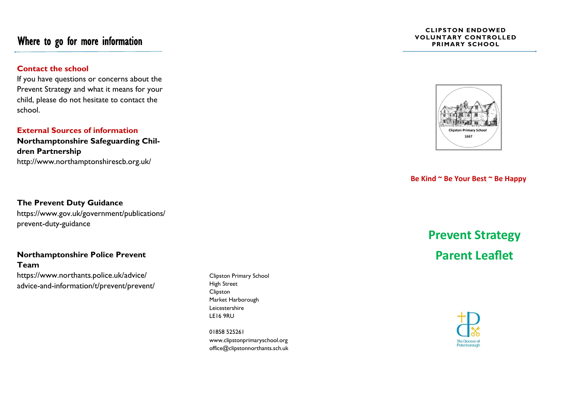## Where to go for more information

### **Contact the school**

If you have questions or concerns about the Prevent Strategy and what it means for your child, please do not hesitate to contact the school.

### **External Sources of information**

**Northamptonshire Safeguarding Children Partnership** http://www.northamptonshirescb.org.uk/

## **The Prevent Duty Guidance** https://www.gov.uk/government/publications/ prevent-duty-guidance

## **Northamptonshire Police Prevent Team**

https://www.northants.police.uk/advice/ advice-and-information/t/prevent/prevent/

Clipston Primary School High Street Clipston Market Harborough Leicestershire LE16 9RU

01858 525261 www.clipstonprimaryschool.org office@clipstonnorthants.sch.uk

#### **CLIPSTON ENDOWED VOLUNTARY CONTROLLED PRIMARY SCHOOL**



### **Be Kind ~ Be Your Best ~ Be Happy**

# **Prevent Strategy Parent Leaflet**